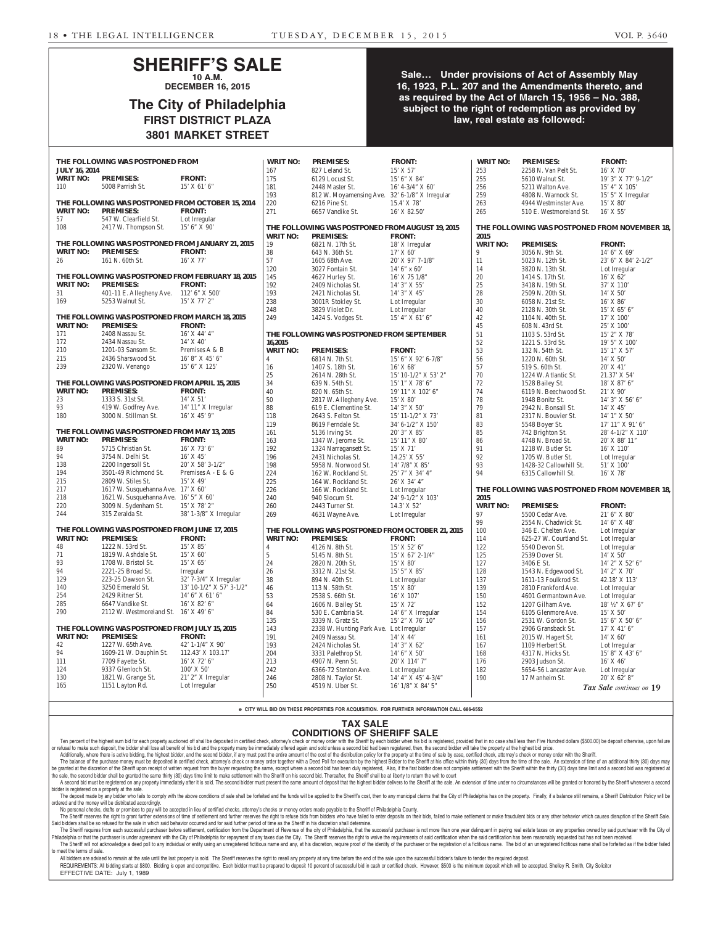#### **SHERIFF'S SALE 10 A.M.**

**DECEMBER 16, 2015**

#### **The City of Philadelphia FIRST DISTRICT PLAZA 3801 MARKET STREET**

#### **Sale… Under provisions of Act of Assembly May 16, 1923, P.L. 207 and the Amendments thereto, and as required by the Act of March 15, 1956 – No. 388, subject to the right of redemption as provided by law, real estate as followed:**

|                                                | THE FOLLOWING WAS POSTPONED FROM                   |                          | <b>WRIT NO:</b> | <b>PREMISES:</b>                                  | <b>FRONT:</b>         | <b>WRIT NO:</b> | <b>PREMISES:</b>                              | <b>FRONT:</b>                |
|------------------------------------------------|----------------------------------------------------|--------------------------|-----------------|---------------------------------------------------|-----------------------|-----------------|-----------------------------------------------|------------------------------|
| <b>JULY 16, 2014</b>                           |                                                    |                          | 167             | 827 Leland St.                                    | $15'$ X 57'           | 253             | 2258 N. Van Pelt St.                          | 16' X 70'                    |
| <b>WRIT NO:</b>                                | <b>PREMISES:</b>                                   | <b>FRONT:</b>            | 175             | 6129 Locust St.                                   | 15' 6" X 84'          | 255             | 5610 Walnut St.                               | 19' 3" X 77' 9-1/2"          |
| 110                                            | 5008 Parrish St.                                   | $15'$ X 61' 6"           | 181             | 2448 Master St.                                   | $16' 4 - 3/4'' X 60'$ | 256             | 5211 Walton Ave.                              | $15'$ 4" X $105'$            |
|                                                |                                                    |                          | 193             | 812 W. Moyamensing Ave. 32' 6-1/8" X Irregular    |                       | 259             | 4808 N. Warnock St.                           | 15' 5" X Irregular           |
|                                                | THE FOLLOWING WAS POSTPONED FROM OCTOBER 15, 2014  |                          | 220             | 6216 Pine St.                                     | 15.4' X 78'           | 263             | 4944 Westminster Ave.                         | 15' X 80'                    |
| <b>WRIT NO:</b>                                | <b>PREMISES:</b>                                   | <b>FRONT:</b>            | 271             | 6657 Vandike St.                                  | 16' X 82.50'          | 265             | 510 E. Westmoreland St.                       | $16'$ X 55'                  |
| 57                                             | 547 W. Clearfield St.                              | Lot Irregular            |                 |                                                   |                       |                 |                                               |                              |
| 108                                            | 2417 W. Thompson St.                               | 15' 6''  X 90'           |                 | THE FOLLOWING WAS POSTPONED FROM AUGUST 19, 2015  |                       |                 | THE FOLLOWING WAS POSTPONED FROM NOVEMBER 18, |                              |
|                                                |                                                    |                          | <b>WRIT NO:</b> | <b>PREMISES:</b>                                  | <b>FRONT:</b>         | 2015            |                                               |                              |
|                                                | THE FOLLOWING WAS POSTPONED FROM JANUARY 21, 2015  |                          | 19              | 6821 N. 17th St.                                  | 18' X Irregular       | <b>WRIT NO:</b> | <b>PREMISES:</b>                              | <b>FRONT:</b>                |
| <b>WRIT NO:</b>                                | <b>PREMISES:</b>                                   | <b>FRONT:</b>            | 38              | 643 N. 36th St.                                   | 17' X 60'             | 9               | 3056 N. 9th St.                               | $14'$ 6" X 69"               |
| 26                                             | 161 N. 60th St.                                    | $16'$ X 77'              | 57              | 1605 68th Ave.                                    | $20'$ X 97' 7-1/8"    | 11              | 5023 N. 12th St.                              | 23' 6" X 84' 2-1/2"          |
|                                                |                                                    |                          | 120             | 3027 Fontain St.                                  | $14'$ 6" x 60"        | 14              | 3820 N. 13th St.                              | Lot Irregular                |
|                                                | THE FOLLOWING WAS POSTPONED FROM FEBRUARY 18, 2015 |                          | 145             | 4627 Hurley St.                                   | 16' X 75 1/8"         | 20              | 1414 S. 17th St.                              | $16'$ X 62'                  |
| <b>WRIT NO:</b>                                | <b>PREMISES:</b>                                   | <b>FRONT:</b>            | 192             | 2409 Nicholas St.                                 | 14' 3" X 55'          | $25\,$          | 3418 N. 19th St.                              | 37' X 110'                   |
| 31                                             | 401-11 E. Allegheny Ave. 112' 6" X 500"            |                          | 193             | 2421 Nicholas St.                                 | 14' 3" X 45'          | 28              | 2509 N. 20th St.                              | 14' X 50'                    |
| 169                                            | 5253 Walnut St.                                    | 15' X 77' 2"             | 238             | 3001R Stokley St.                                 | Lot Irregular         | 30              | 6058 N. 21st St.                              | $16'$ X $86'$                |
|                                                |                                                    |                          | 248             | 3829 Violet Dr.                                   | Lot Irregular         | 40              | 2128 N. 30th St.                              | $15'$ X 65' 6"               |
|                                                | THE FOLLOWING WAS POSTPONED FROM MARCH 18, 2015    |                          | 249             |                                                   | $15'$ 4" X 61' 6"     | 42              |                                               | 17' X 100'                   |
| <b>WRIT NO:</b>                                | <b>PREMISES:</b>                                   | <b>FRONT:</b>            |                 | 1424 S. Vodges St.                                |                       | 45              | 1104 N. 40th St.                              |                              |
|                                                |                                                    |                          |                 |                                                   |                       |                 | 608 N. 43rd St.                               | 25' X 100'                   |
| 171                                            | 2408 Nassau St.                                    | $16'$ X 44' 4"           |                 | THE FOLLOWING WAS POSTPONED FROM SEPTEMBER        |                       | 51              | 1103 S. 53rd St.                              | $15'$ 2" X 78'               |
| 172                                            | 2434 Nassau St.                                    | $14'$ X $40'$            | 16,2015         |                                                   |                       | 52              | 1221 S. 53rd St.                              | $19'$ 5" X $100'$            |
| 210                                            | 1201-03 Sansom St.                                 | Premises A & B           | <b>WRIT NO:</b> | <b>PREMISES:</b>                                  | <b>FRONT:</b>         | 53              | 132 N. 54th St.                               | 15' 1" X 57'                 |
| 215                                            | 2436 Sharswood St.                                 | $16'8''$ X $45'6''$      | $\overline{4}$  | 6814 N. 7th St.                                   | 15' 6" X 92' 6-7/8"   | 56              | 1220 N. 60th St.                              | 14' X 50'                    |
| 239                                            | 2320 W. Venango                                    | 15' 6" X 125'            | 16              | 1407 S. 18th St.                                  | $16'$ X 68'           | 57              | 519 S. 60th St.                               | $20'$ X 41'                  |
|                                                |                                                    |                          | 25              | 2614 N. 28th St.                                  | 15' 10-1/2" X 53' 2"  | 70              | 1224 W. Atlantic St.                          | 21.37' X 54'                 |
|                                                | THE FOLLOWING WAS POSTPONED FROM APRIL 15, 2015    |                          | 34              | 639 N. 54th St.                                   | $15'1''$ X 78' 6"     | 72              | 1528 Bailey St.                               | $18'$ X $87'$ 6"             |
| <b>WRIT NO:</b>                                | <b>PREMISES:</b>                                   | <b>FRONT:</b>            | 40              | 820 N. 65th St.                                   | 19' 11" X 102' 6"     | 74              | 6119 N. Beechwood St.                         | $21'$ X 90'                  |
| 23                                             | 1333 S. 31st St.                                   | $14'$ X 51'              | 50              | 2817 W. Allegheny Ave.                            | $15'$ X 80'           | 78              | 1948 Bonitz St.                               | $14'$ 3" X 56' 6"            |
| 93                                             | 419 W. Godfrey Ave.                                | 14' 11" X Irregular      | 88              | 619 E. Clementine St.                             | $14'$ 3" X 50"        | 79              | 2942 N. Bonsall St.                           | $14'$ X 45'                  |
| 180                                            | 3000 N. Stillman St.                               | $16'$ X 45' 9"           | 118             | 2643 S. Felton St.                                | 15' 11-1/2" X 73'     | $81\,$          | 2317 N. Bouvier St.                           | $14'1''$ X 50'               |
|                                                |                                                    |                          | 119             | 8619 Ferndale St.                                 | 34' 6-1/2" X 150'     | 83              | 5548 Boyer St.                                | $17'$ $11''$ $X$ $91'$ $6''$ |
|                                                | THE FOLLOWING WAS POSTPONED FROM MAY 13, 2015      |                          | 161             | 5136 Irving St.                                   | $20'3''$ X 85'        | 85              | 742 Brighton St.                              | 28' 4-1/2" X 110'            |
| <b>WRIT NO:</b>                                | <b>PREMISES:</b>                                   | <b>FRONT:</b>            | 163             | 1347 W. Jerome St.                                | 15' 11'' X 80'        | 86              | 4748 N. Broad St.                             | 20' X 88' 11"                |
| 89                                             | 5715 Christian St.                                 | $16'$ X 73' 6"           | 192             | 1324 Narragansett St.                             | $15'$ X 71'           | 91              | 1218 W. Butler St.                            | $16'$ X $110'$               |
| 94                                             | 3754 N. Delhi St.                                  | $16'$ X 45'              | 196             | 2431 Nicholas St.                                 | 14.25' X 55'          | 92              | 1705 W. Butler St.                            | Lot Irregular                |
| 138                                            | 2200 Ingersoll St.                                 | $20'$ X 58' 3-1/2"       | 198             | 5958 N. Norwood St.                               | 14' 7/8" X 85'        | 93              | 1428-32 Callowhill St.                        | 51' X 100'                   |
| 194                                            | 3501-49 Richmond St.                               | Premises $A - E & G$     | 224             | 162 W. Rockland St.                               | 25' 7" X 34' 4"       | 94              | 6315 Callowhill St.                           | $16'$ X 78'                  |
| 215                                            | 2809 W. Stiles St.                                 | $15'$ X 49'              | 225             | 164 W. Rockland St.                               | 26' X 34' 4"          |                 |                                               |                              |
| 217                                            | 1617 W. Susquehanna Ave. 17' X 60'                 |                          | 226             | 166 W. Rockland St.                               | Lot Irregular         |                 | THE FOLLOWING WAS POSTPONED FROM NOVEMBER 18, |                              |
| 218                                            | 1621 W. Susquehanna Ave. 16' 5" X 60'              |                          | 240             | 940 Slocum St.                                    | 24' 9-1/2" X 103'     | 2015            |                                               |                              |
| 220                                            | 3009 N. Sydenham St.                               | 15' X 78' 2"             | 260             | 2443 Turner St.                                   | 14.3' X 52'           | <b>WRIT NO:</b> | <b>PREMISES:</b>                              | <b>FRONT:</b>                |
| 244                                            | 315 Zeralda St.                                    | 38' 1-3/8" X Irregular   | 269             | 4631 Wayne Ave.                                   | Lot Irregular         | 97              | 5500 Cedar Ave.                               | $21'$ 6" X 80"               |
|                                                |                                                    |                          |                 |                                                   |                       | 99              |                                               | 14' 6'' X 48'                |
|                                                | THE FOLLOWING WAS POSTPONED FROM JUNE 17, 2015     |                          |                 | THE FOLLOWING WAS POSTPONED FROM OCTOBER 21, 2015 |                       |                 | 2554 N. Chadwick St.                          |                              |
| <b>WRIT NO:</b>                                | <b>PREMISES:</b>                                   | <b>FRONT:</b>            |                 |                                                   |                       | 100             | 346 E. Chelten Ave.                           | Lot Irregular                |
|                                                |                                                    |                          | <b>WRIT NO:</b> | <b>PREMISES:</b>                                  | <b>FRONT:</b>         | 114             | 625-27 W. Courtland St.                       | Lot Irregular                |
| 48                                             | 1222 N. 53rd St.                                   | $15'$ X $85'$            | 4               | 4126 N. 8th St.                                   | $15'$ X 52' 6"        | 122             | 5540 Devon St.                                | Lot Irregular                |
| 71                                             | 1819 W. Ashdale St.                                | 15' X 60'                | 5               | 5145 N. 8th St.                                   | $15'$ X 67' 2-1/4"    | 125             | 2539 Dover St.                                | 14' X 50'                    |
| 93                                             | 1708 W. Bristol St.                                | $15'$ X 65'              | 24              | 2820 N. 20th St.                                  | $15'$ X 80'           | 127             | 3406 E St.                                    | 14' 2" X 52' 6"              |
| 94                                             | 2221-25 Broad St.                                  | Irregular                | 26              | 3312 N. 21st St.                                  | $15'5''$ X 85'        | 128             | 1543 N. Edgewood St.                          | 14' 2" X 70'                 |
| 129                                            | 223-25 Dawson St.                                  | $32'$ 7-3/4" X Irregular | 38              | 894 N. 40th St.                                   | Lot Irregular         | 137             | 1611-13 Foulkrod St.                          | 42.18' X 113'                |
| 140                                            | 3250 Emerald St.                                   | 13' 10-1/2" X 57' 3-1/2" | 46              | 113 N. 58th St.                                   | 15' X 80'             | 139             | 2810 Frankford Ave.                           | Lot Irregular                |
| 254                                            | 2429 Ritner St.                                    | $14'$ 6" X 61' 6"        | 53              | 2538 S. 66th St.                                  | 16' X 107'            | 150             | 4601 Germantown Ave.                          | Lot Irregular                |
| 285                                            | 6647 Vandike St.                                   | 16' X 82' 6"             | 64              | 1606 N. Bailey St.                                | 15' X 72'             | 152             | 1207 Gilham Ave.                              | 18' 1/2" X 67' 6"            |
| 290                                            | 2112 W. Westmoreland St. $16'$ X 49' 6"            |                          | 84              | 530 E. Cambria St.                                | $14'$ 6" X Irregular  | 154             | 6105 Glenmore Ave.                            | 15' X 50'                    |
|                                                |                                                    |                          | 135             | 3339 N. Gratz St.                                 | 15' 2" X 76' 10"      | 156             | 2531 W. Gordon St.                            | $15'$ 6" X 50' 6"            |
| THE FOLLOWING WAS POSTPONED FROM JULY 15, 2015 |                                                    |                          | 143             | 2338 W. Hunting Park Ave. Lot Irregular           |                       | 157             | 2906 Gransback St.                            | 17' X 41' 6'                 |
| <b>WRIT NO:</b>                                | <b>PREMISES:</b>                                   | <b>FRONT:</b>            | 191             | 2409 Nassau St.                                   | 14' X 44'             | 161             | 2015 W. Hagert St.                            | 14' X 60'                    |
| 42                                             | 1227 W. 65th Ave.                                  | 42' 1-1/4" $X$ 90'       | 193             | 2424 Nicholas St.                                 | 14' 3" X 62'          | 167             | 1109 Herbert St.                              | Lot Irregular                |
| 94                                             | 1609-21 W. Dauphin St.                             | 112.43' X 103.17'        | 204             | 3331 Palethrop St.                                | $14'$ 6" X 50"        | 168             | 4317 N. Hicks St.                             | 15' 8'' X 43' 6''            |
| 111                                            | 7709 Fayette St.                                   | $16'$ X 72' 6"           | 213             | 4907 N. Penn St.                                  | 20' X 114' 7"         | 176             | 2903 Judson St.                               | 16' X 46'                    |
| 124                                            | 9337 Glenloch St.                                  | $100'$ X 50'             | 242             | 6366-72 Stenton Ave.                              | Lot Irregular         | 182             | 5654-56 Lancaster Ave.                        | Lot Irregular                |
| 130                                            | 1821 W. Grange St.                                 | $21'$ 2" X Irregular     | 246             | 2808 N. Taylor St.                                | $14'$ 4" X 45' 4-3/4" | 190             | 17 Manheim St.                                | $20'$ X 62' 8"               |
| 165                                            | 1151 Layton Rd.                                    | Lot Irregular            | 250             | 4519 N. Uber St.                                  | 16' 1/8" X 84' 5"     |                 |                                               | Tax Sale continues on 19     |
|                                                |                                                    |                          |                 |                                                   |                       |                 |                                               |                              |

**e CITY WILL BID ON THESE PROPERTIES FOR ACQUISITION. FOR FURTHER INFORMATION CALL 686-6552**

#### **TAX SALE**

**CONDITIONS OF SHERIFF SALE**

Ten percent of the highest sum bid for each property auctioned off shall be deposited in certified check, attorney's check or money order with the Sheriff by each bidder when his bid is registered, provided that in no case or refusal to make such deposit, the bidder shall lose all benefit of his bid and the property many be immediately offered again and sold unless a second bid had been registered, then, the second bidder will take the prope Additionally, where there is active bidding, the highest bidder, and the second bidder, if any must post the entire amount of the cost of the distribution policy for the property at the time of sale by case, certified chec

The balance of the purchase money must be deposited in certified check, attorney's check or money scheck or money order together with a Deed Poll for execution by the highest Bidder to the Sheriff at his office within thir granted at the discretion of the Sheriff upon receipt of written request from the buyer requesting the same, except where a second bid has been duly registered. Also, if the first bidder does not complete settlement with t the sale, the second bidder shall be granted the same thirty (30) days time limit to make settlement with the Sheriff on his second bid. Thereafter, the Sheriff shall be at liberty to return the writ to court A second bid must be registered on any property immediately after it is sold. The second bidder must present the same amount of deposit that the highest bidder delivers to the Sheriff at the sale. An extension of time unde

bidder is registered on a property at the sale. The deposit made by any bidder who fails to comply with the above conditions of sale shall be forfeited and the funds will be applied to the Sheriff's cost, then to any municipal claims that the City of Philadelphia has on

ordered and the money will be distributed accordingly. No personal checks, drafts or promises to pay will be accepted in lieu of certified checks, attorney's checks or money orders made payable to the Sheriff of Philadelphia County. The Sheriff reserves the right to grant further extensions of time of settlement and further reserves the right to refuse bids from bidders who have failed to enter deposits on their bids, failed to make settlement or make

Said bidders shall be so refused for the sale in which said behavior occurred and for said further period of time as the Sheriff in his discretion shall determine. The Sheriff requires from each successful purchaser before settlement, certification from the Department of Revenue of the city of Philadelphia, that the successful purchaser is not more than one year delinquent in paying

Philadelphia or that the purchaser is under agreement with the City of Philadelphia for repayment of any taxes due the City. The Sheriff reserves the right to waive the requirements of said certification when the said cert The Sheriff will not acknowledge a deed poll to any individual or entity using an unregistered fictitious name and any, at his discretion, require proof of the identity of the purchaser or the registration of a fictitious to meet the terms of sale.

All bidders are advised to remain at the sale until the last property is sold. The Sheriff reserves the right to resell any property at any time before the end of the sale upon the successful bidder's failure to tender the REQUIREMENTS: All bidding starts at \$800. Bidding is open and competitive. Each bidder must be prepared to deposit 10 percent of successful bid in cash or certified check. However, \$500 is the minimum deposit which will be EFFECTIVE DATE: July 1, 1989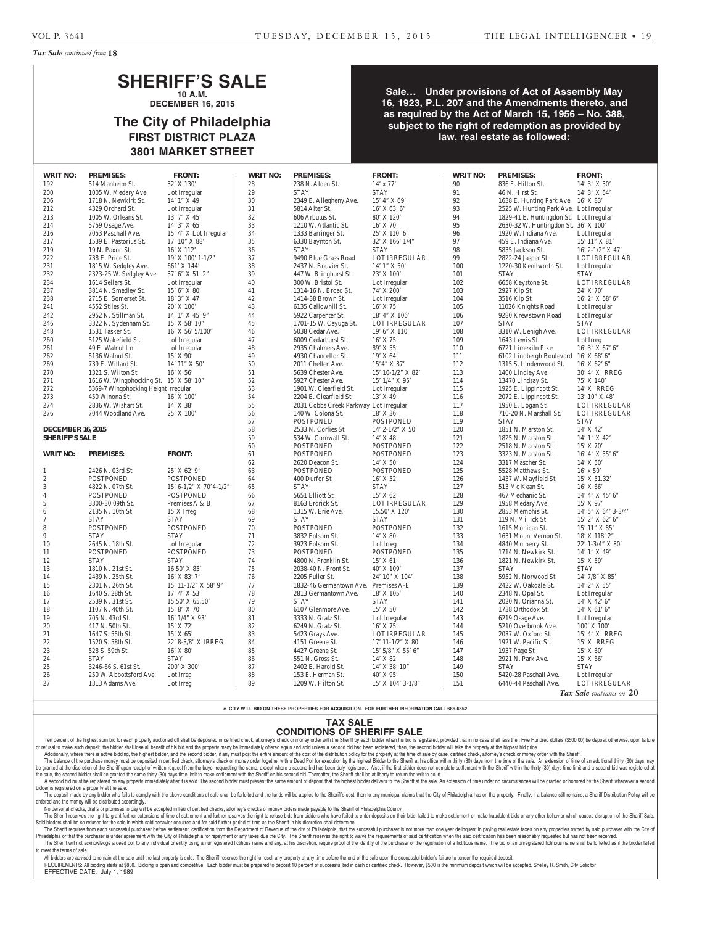*Tax Sale continued from* **18**

#### **SHERIFF'S SALE 10 A.M.**

**DECEMBER 16, 2015**

## **The City of Philadelphia FIRST DISTRICT PLAZA 3801 MARKET STREET**

**Sale… Under provisions of Act of Assembly May 16, 1923, P.L. 207 and the Amendments thereto, and as required by the Act of March 15, 1956 – No. 388, subject to the right of redemption as provided by law, real estate as followed:**

| 192                      | <b>PREMISES:</b>                            | <b>FRONT:</b>            | <b>WRIT NO:</b> | <b>PREMISES:</b>                       | <b>FRONT:</b>             | <b>WRIT NO:</b> | <b>PREMISES:</b>                        | <b>FRONT:</b>        |
|--------------------------|---------------------------------------------|--------------------------|-----------------|----------------------------------------|---------------------------|-----------------|-----------------------------------------|----------------------|
|                          | 514 Manheim St.                             | 32' X 130'               | 28              | 238 N. Alden St.                       | $14'$ x $77'$             | 90              | 836 E. Hilton St.                       | 14' 3" X 50'         |
| 200                      | 1005 W. Medary Ave.                         | Lot Irregular            | 29              | <b>STAY</b>                            | <b>STAY</b>               | 91              | 46 N. Hirst St.                         | 14' 3" X 64'         |
| 206                      | 1718 N. Newkirk St.                         | $14'1''$ X 49'           | 30              | 2349 E. Allegheny Ave.                 | 15' 4" X 69'              | 92              | 1638 E. Hunting Park Ave. 16' X 83'     |                      |
| 212                      | 4329 Orchard St.                            | Lot Irregular            | 31              | 5814 Alter St.                         | $16'$ X 63' 6"            | 93              | 2525 W. Hunting Park Ave. Lot Irregular |                      |
| 213                      | 1005 W. Orleans St.                         | $13'7''$ X 45'           | 32              | 606 Arbutus St.                        | 80' X 120'                | 94              | 1829-41 E. Huntingdon St. Lot Irregular |                      |
| 214                      | 5759 Osage Ave.                             | 14' 3" X 65'             | 33              | 1210 W. Atlantic St.                   | 16' X 70'                 | 95              | 2630-32 W. Huntingdon St. 36' X 100'    |                      |
| 216                      | 7053 Paschall Ave.                          | 15' 4" X Lot Irregular   | 34              | 1333 Barringer St.                     | 25' X 110' 6"             | 96              | 1920 W. Indiana Ave.                    | Lot Irregular        |
| 217                      | 1539 E. Pastorius St.                       | 17' 10'' X 88'           | 35              | 6330 Baynton St.                       | 32' X 166' 1/4"           | 97              | 459 E. Indiana Ave.                     | 15' 11" X 81'        |
| 219                      | 19 N. Paxon St.                             | 16' X 112'               | 36              | <b>STAY</b>                            | <b>STAY</b>               | 98              | 5835 Jackson St.                        | 16' 2-1/2" X 47'     |
| 222                      | 738 E. Price St.                            | 19' X 100' 1-1/2"        | 37              | 9490 Blue Grass Road                   | LOT IRREGULAR             | 99              | 2822-24 Jasper St.                      | LOT IRREGULAR        |
| 231                      | 1815 W. Sedgley Ave.                        | 661' X 144'              | 38              | 2437 N. Bouvier St.                    | 14' 1" X 50'              | 100             | 1220-30 Kenilworth St.                  | Lot Irregular        |
| 232                      | 2323-25 W. Sedgley Ave.                     | 37' 6" X 51' 2"          | 39              | 447 W. Bringhurst St.                  | 23' X 100'                | 101             | <b>STAY</b>                             | <b>STAY</b>          |
| 234                      | 1614 Sellers St.                            | Lot Irregular            | 40              | 300 W. Bristol St.                     | Lot Irregular             | 102             | 6658 Keystone St.                       | <b>LOT IRREGULAR</b> |
| 237                      |                                             | 15' 6''  X 80'           |                 | 1314-16 N. Broad St.                   | 74' X 200'                | 103             |                                         | 24' X 70'            |
| 238                      | 3814 N. Smedley St.<br>2715 E. Somerset St. | 18' 3" X 47'             | 41<br>42        | 1414-38 Brown St.                      |                           | 104             | 2927 Kip St.                            | 16' 2" X 68' 6"      |
|                          |                                             |                          |                 |                                        | Lot Irregular             |                 | 3516 Kip St.                            |                      |
| 241                      | 4552 Stiles St.                             | 20' X 100'               | 43              | 6135 Callowhill St.                    | $16'$ X 75'               | 105             | 11026 Knights Road                      | Lot Irregular        |
| 242                      | 2952 N. Stillman St.                        | 14' 1" X 45' 9"          | 44              | 5922 Carpenter St.                     | 18' 4" X 106'             | 106             | 9280 Krewstown Road                     | Lot Irregular        |
| 246                      | 3322 N. Sydenham St.                        | $15'$ X 58' $10''$       | 45              | 1701-15 W. Cayuga St.                  | LOT IRREGULAR             | 107             | <b>STAY</b>                             | <b>STAY</b>          |
| 248                      | 1531 Tasker St.                             | $16'$ X 56' 5/100"       | 46              | 5038 Cedar Ave.                        | 19' 6" X 110'             | 108             | 3310 W. Lehigh Ave.                     | LOT IRREGULAR        |
| 260                      | 5125 Wakefield St.                          | Lot Irregular            | 47              | 6009 Cedarhurst St.                    | 16' X 75'                 | 109             | 1643 Lewis St.                          | Lot Irreg            |
| 261                      | 49 E. Walnut Ln.                            | Lot Irregular            | 48              | 2935 Chalmers Ave.                     | 89' X 55'                 | 110             | 6721 Limekiln Pike                      | $16'3''$ X 67' 6"    |
| 262                      | 5136 Walnut St.                             | $15'$ X 90'              | 49              | 4930 Chancellor St.                    | 19' X 64'                 | 111             | 6102 Lindbergh Boulevard 16' X 68' 6"   |                      |
| 269                      | 739 E. Willard St.                          | 14' 11" X 50'            | 50              | 2011 Chelten Ave.                      | 15'4" X 87'               | 112             | 1315 S. Lindenwood St.                  | $16'$ X 62' 6"       |
| 270                      | 1321 S. Wilton St.                          | 16' X 56'                | 51              | 5639 Chester Ave.                      | 15' 10-1/2" X 82'         | 113             | 1400 Lindley Ave.                       | 30' 4" X IRREG       |
| 271                      | 1616 W. Wingohocking St. 15' X 58' 10"      |                          | 52              | 5927 Chester Ave.                      | 15' 1/4" X 95'            | 114             | 13470 Lindsay St.                       | 75' X 140'           |
| 272                      | 5369-7 Wingohocking Height Irregular        |                          | 53              | 1901 W. Clearfield St.                 | Lot Irregular             | 115             | 1925 E. Lippincott St.                  | 14' X IRREG          |
| 273                      | 450 Winona St.                              | $16'$ X $100'$           | 54              | 2204 E. Clearfield St.                 | 13' X 49'                 | 116             | 2072 E. Lippincott St.                  | 13' 10" X 48'        |
| 274                      | 2836 W. Wishart St.                         | 14' X 38'                | 55              | 2031 Cobbs Creek Parkway Lot Irregular |                           | 117             | 1950 E. Logan St.                       | LOT IRREGULAR        |
| 276                      | 7044 Woodland Ave.                          | $25'$ X $100'$           | 56              | 140 W. Colona St.                      | $18'$ X 36'               | 118             | 710-20 N. Marshall St.                  | LOT IRREGULAR        |
|                          |                                             |                          | 57              | <b>POSTPONED</b>                       | <b>POSTPONED</b>          | 119             | <b>STAY</b>                             | <b>STAY</b>          |
| <b>DECEMBER 16, 2015</b> |                                             |                          | 58              | 2533 N. Corlies St.                    | 14' 2-1/2" X 50'          | 120             | 1851 N. Marston St.                     | 14' X 42'            |
|                          |                                             |                          | 59              | 534 W. Cornwall St.                    | $14'$ X 48'               | 121             | 1825 N. Marston St.                     | 14' 1" X 42'         |
| <b>SHERIFF'S SALE</b>    |                                             |                          |                 |                                        |                           |                 |                                         |                      |
|                          |                                             |                          |                 | <b>POSTPONED</b>                       | <b>POSTPONED</b>          |                 |                                         |                      |
|                          | <b>PREMISES:</b>                            | <b>FRONT:</b>            | 60              | <b>POSTPONED</b>                       | <b>POSTPONED</b>          | 122             | 2518 N. Marston St.                     | 15' X 70'            |
| <b>WRIT NO:</b>          |                                             |                          | 61              |                                        |                           | 123             | 3323 N. Marston St.                     | 16' 4" X 55' 6"      |
|                          |                                             |                          | 62              | 2620 Deacon St.                        | $14'$ X 50'               | 124             | 3317 Mascher St.                        | $14'$ X 50'          |
|                          | 2426 N. 03rd St.                            | 25' X 62' 9"             | 63              | POSTPONED                              | <b>POSTPONED</b>          | $125\,$         | 5528 Matthews St.                       | $16'$ x $50'$        |
| $\overline{2}$           | <b>POSTPONED</b>                            | <b>POSTPONED</b>         | 64              | 400 Durfor St.                         | $16'$ X 52'               | 126             | 1437 W. Mayfield St.                    | 15' X 51.32'         |
| $\mathfrak{Z}$           | 4822 N. 07th St.                            | $15'$ 6-1/2" X 70'4-1/2" | 65              | <b>STAY</b>                            | <b>STAY</b>               | 127             | 513 Mc Kean St.                         | 16' X 66'            |
| $\overline{4}$           | <b>POSTPONED</b>                            | <b>POSTPONED</b>         | 66              | 5651 Elliott St.                       | 15' X 62'                 | 128             | 467 Mechanic St.                        | 14' 4" X 45' 6"      |
| 5                        | 3300-30 09th St.                            | Premises A & B           | 67              | 8163 Erdrick St.                       | LOT IRREGULAR             | 129             | 1958 Medary Ave.                        | $15'$ X 97'          |
| 6<br>$\overline{7}$      | 2135 N. 10th St                             | 15'X Irreg               | 68              | 1315 W. Erie Ave.                      | 15.50' X 120'             | 130             | 2853 Memphis St.                        | 14' 5" X 64' 3-3/4"  |
|                          | <b>STAY</b>                                 | <b>STAY</b>              | 69              | <b>STAY</b>                            | <b>STAY</b>               | 131             | 119 N. Millick St.                      | 15' 2" X 62' 6"      |
| $\,8\,$                  | <b>POSTPONED</b>                            | POSTPONED                | 70              | <b>POSTPONED</b>                       | <b>POSTPONED</b>          | 132             | 1615 Mohican St.                        | 15' 11" X 85'        |
| 9                        | <b>STAY</b>                                 | <b>STAY</b>              | 71              | 3832 Folsom St.                        | 14' X 80'                 | 133             | 1631 Mount Vernon St.                   | 18' X 118' 2"        |
| 10                       | 2645 N. 18th St.                            | Lot Irregular            | 72              | 3923 Folsom St.                        | Lot Irreg                 | 134             | 4840 Mulberry St.                       | $22'$ 1-3/4" X 80"   |
| 11                       | POSTPONED                                   | <b>POSTPONED</b>         | 73              | POSTPONED                              | <b>POSTPONED</b>          | 135             | 1714 N. Newkirk St.                     | 14' 1" X 49'         |
| 12                       | <b>STAY</b>                                 | <b>STAY</b>              | 74              | 4800 N. Franklin St.                   | 15' X 61'                 | 136             | 1821 N. Newkirk St.                     | 15' X 59'            |
| 13                       | 1810 N. 21st St.                            | $16.50'$ X 85'           | 75              | 2038-40 N. Front St.                   | 40' X 109'                | 137             | <b>STAY</b>                             | <b>STAY</b>          |
| 14                       | 2439 N. 25th St.                            | 16' X 83' 7"             | 76              | 2205 Fuller St.                        | 24' 10" X 104'            | 138             | 5952 N. Norwood St.                     | 14' 7/8" X 85'       |
| 15                       | 2301 N. 26th St.                            | $15'$ 11-1/2" X 58' 9"   | 77              | 1832-46 Germantown Ave. Premises A-E   |                           | 139             | 2422 W. Oakdale St.                     | $14'$ 2" X 55'       |
| 16                       | 1640 S. 28th St.                            | $17'$ 4" X 53'           | 78              | 2813 Germantown Ave.                   | 18' X 105'                | 140             | 2348 N. Opal St.                        | Lot Irregular        |
| 17                       | 2539 N. 31st St.                            | 15.50' X 65.50'          | 79              | <b>STAY</b>                            | <b>STAY</b>               | 141             | 2020 N. Orianna St.                     | 14' X 42' 6"         |
| 18                       | 1107 N. 40th St.                            | 15' 8" X 70'             | 80              | 6107 Glenmore Ave.                     | 15' X 50'                 | 142             | 1738 Orthodox St.                       | $14'$ X 61' 6"       |
| 19                       | 705 N. 43rd St.                             | 16' 1/4" X 93'           | 81              | 3333 N. Gratz St.                      | Lot Irregular             | 143             | 6219 Osage Ave.                         | Lot Irregular        |
| 20                       | 417 N. 50th St.                             | 15' X 72'                | 82              | 6249 N. Gratz St.                      | $16'$ X 75'               | 144             | 5210 Overbrook Ave.                     | $100'$ X $100'$      |
| 21                       | 1647 S. 55th St.                            | 15' X 65'                | 83              | 5423 Grays Ave.                        | LOT IRREGULAR             | 145             | 2037 W. Oxford St.                      | 15' 4" X IRREG       |
| 22                       | 1520 S. 58th St.                            | 22' 8-3/8" X IRREG       | 84              | 4151 Greene St.                        | 17' 11-1/2" X 80'         | 146             | 1921 W. Pacific St.                     | 15' X IRREG          |
| 23                       | 528 S. 59th St.                             | $16'$ X $80'$            | 85              | 4427 Greene St.                        | $15'$ 5/8" X 55' 6"       | 147             | 1937 Page St.                           | $15'$ X 60'          |
| 24                       | <b>STAY</b>                                 | <b>STAY</b>              | 86              | 551 N. Gross St.                       | 14' X 82'                 | 148             | 2921 N. Park Ave.                       | $15'$ X 66'          |
| 25                       | 3246-66 S. 61st St.                         | 200' X 300'              | 87              | 2402 E. Harold St.                     | 14' X 38' 10"             | 149             | <b>STAY</b>                             | <b>STAY</b>          |
| 26                       | 250 W. Abbottsford Ave.                     | Lot Irreg                | 88              | 153 E. Herman St.                      | 40' X 95'                 | 150             | 5420-28 Paschall Ave.                   | Lot Irregular        |
| 27                       | 1313 Adams Ave.                             | Lot Irreg                | 89              | 1209 W. Hilton St.                     | $15'$ X $104'$ 3- $1/8''$ | 151             | 6440-44 Paschall Ave.                   | LOT IRREGULAR        |

**e CITY WILL BID ON THESE PROPERTIES FOR ACQUISITION. FOR FURTHER INFORMATION CALL 686-6552**

## **TAX SALE**

**CONDITIONS OF SHERIFF SALE**

Ten percent of the highest sum bid for each property auctioned off shall be deposited in certified check, attorney's check or money order with the Sheriff by each bidder when his bid is registered, provided that in no case or refusal to make such deposit, the bidder shall lose all benefit of his bid and the property many be immediately offered again and sold unless a second bid had been registered, then, the second bidder will take the prope Additionally, where there is active bidding, the highest bidder, and the second bidder, if any must post the entire amount of the cost of the distribution policy for the property at the time of sale by case, certified chec

The balance of the purchase money must be deposited in certified check, attorney's check or money order together with a Deed Poll for execution by the highest Bidder to the Sheriff at his office within thirty (30) days fro be granted at the discretion of the Sheriff upon receipt of written request from the buyer requesting the same, except where a second bid has been duly registered. Also, if the first bidder does not complete settlement wit the sale, the second bidder shall be granted the same thirty (30) days time limit to make settlement with the Sheriff on his second bid. Thereafter, the Sheriff shall be at liberty to return the writ to court

A second bid must be registered on any property immediately after it is sold. The second bidder must present the same amount of deposit that the highest bidder delivers to the Sheriff at the sale. An extension of time unde bidder is registered on a property at the sale.

The deposit made by any bidder who fails to comply with the above conditions of sale shall be forfeited and the funds will be apolied to the Sheriff's cost, then to any municipal claims that the City of Philadelphia has on ordered and the money will be distributed accordingly.

No personal checks, drafts or promises to pay will be accepted in lieu of certied checks, attorney's checks or money orders made payable to the Sheriff of Philadelphia County. The Sheriff reserves the right to grant further extensions of time of settlement and further reserves the right to refuse bids from bidders who have failed to enter deposits on their bids, failed to make settlement or make Said bidders shall be so refused for the sale in which said behavior occurred and for said further period of time as the Sheriff in his discretion shall determine.

The Sheriff requires from each successful purchaser before settlement, certification from the Department of Revenue of the city of Philadelphia, that the successful purchaser is not more than one year delinquent in paying Philadelphia or that the purchaser is under agreement with the City of Philadelphia for repayment of any taxes due the City. The Sheriff reserves the right to waive the requirements of said certification when the said cert The Sheriff will not acknowledge a deed poll to any individual or entity using an unregistered fictitious name and any, at his discretion, require proof of the identity of the purchaser or the registration of a fictitious o meet the terms of sale.

All bidders are advised to remain at the sale until the last property is sold. The Sheriff reserves the right to resell any property at any time before the end of the sale upon the successful bidder's failure to tender the REQUIREMENTS: All bidding starts at \$800. Bidding is open and competitive. Each bidder must be prepared to deposit 10 percent of successful bid in cash or certified check. However, \$500 is the minimum deposit which will be EFFECTIVE DATE: July 1, 1989